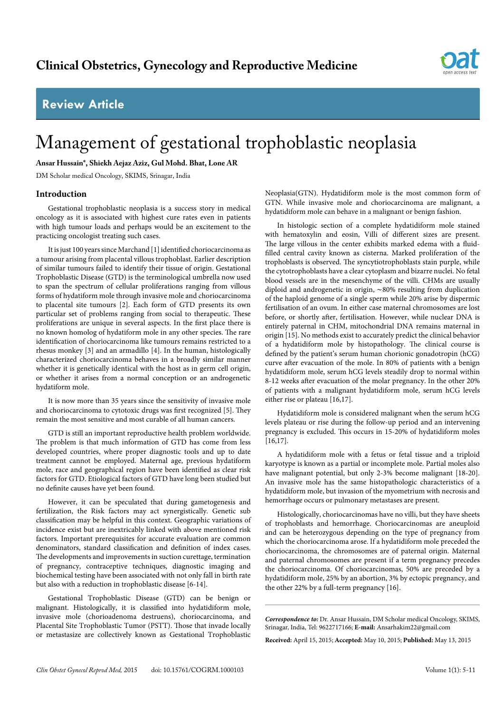# **Review Article**



# Management of gestational trophoblastic neoplasia

**Ansar Hussain\*, Shiekh Aejaz Aziz, Gul Mohd. Bhat, Lone AR**

DM Scholar medical Oncology, SKIMS, Srinagar, India

# **Introduction**

Gestational trophoblastic neoplasia is a success story in medical oncology as it is associated with highest cure rates even in patients with high tumour loads and perhaps would be an excitement to the practicing oncologist treating such cases.

It is just 100 years since Marchand [1] identified choriocarcinoma as a tumour arising from placental villous trophoblast. Earlier description of similar tumours failed to identify their tissue of origin. Gestational Trophoblastic Disease (GTD) is the terminological umbrella now used to span the spectrum of cellular proliferations ranging from villous forms of hydatiform mole through invasive mole and choriocarcinoma to placental site tumours [2]. Each form of GTD presents its own particular set of problems ranging from social to therapeutic. These proliferations are unique in several aspects. In the first place there is no known homolog of hydatiform mole in any other species. The rare identification of choriocarcinoma like tumours remains restricted to a rhesus monkey [3] and an armadillo [4]. In the human, histologically characterized choriocarcinoma behaves in a broadly similar manner whether it is genetically identical with the host as in germ cell origin, or whether it arises from a normal conception or an androgenetic hydatiform mole.

It is now more than 35 years since the sensitivity of invasive mole and choriocarcinoma to cytotoxic drugs was first recognized [5]. They remain the most sensitive and most curable of all human cancers.

GTD is still an important reproductive health problem worldwide. The problem is that much information of GTD has come from less developed countries, where proper diagnostic tools and up to date treatment cannot be employed. Maternal age, previous hydatiform mole, race and geographical region have been identified as clear risk factors for GTD. Etiological factors of GTD have long been studied but no definite causes have yet been found.

However, it can be speculated that during gametogenesis and fertilization, the Risk factors may act synergistically. Genetic sub classification may be helpful in this context. Geographic variations of incidence exist but are inextricably linked with above mentioned risk factors. Important prerequisites for accurate evaluation are common denominators, standard classification and definition of index cases. The developments and improvements in suction curettage, termination of pregnancy, contraceptive techniques, diagnostic imaging and biochemical testing have been associated with not only fall in birth rate but also with a reduction in trophoblastic disease [6-14].

Gestational Trophoblastic Disease (GTD) can be benign or malignant. Histologically, it is classified into [hydatidiform mole](http://emedicine.medscape.com/article/254657-overview), invasive mole (chorioadenoma destruens), choriocarcinoma, and Placental Site Trophoblastic Tumor (PSTT). Those that invade locally or metastasize are collectively known as Gestational Trophoblastic Neoplasia(GTN). Hydatidiform mole is the most common form of GTN. While invasive mole and choriocarcinoma are malignant, a hydatidiform mole can behave in a malignant or benign fashion.

In histologic section of a complete hydatidiform mole stained with hematoxylin and eosin, Villi of different sizes are present. The large villous in the center exhibits marked edema with a fluidfilled central cavity known as cisterna. Marked proliferation of the trophoblasts is observed. The syncytiotrophoblasts stain purple, while the cytotrophoblasts have a clear cytoplasm and bizarre nuclei. No fetal blood vessels are in the mesenchyme of the villi. CHMs are usually diploid and androgenetic in origin, ∼80% resulting from duplication of the haploid genome of a single sperm while 20% arise by dispermic fertilisation of an ovum. In either case maternal chromosomes are lost before, or shortly after, fertilisation. However, while nuclear DNA is entirely paternal in CHM, mitochondrial DNA remains maternal in origin [15]. No methods exist to accurately predict the clinical behavior of a hydatidiform mole by histopathology. The clinical course is defined by the patient's serum human chorionic gonadotropin (hCG) curve after evacuation of the mole. In 80% of patients with a benign hydatidiform mole, serum hCG levels steadily drop to normal within 8-12 weeks after evacuation of the molar pregnancy. In the other 20% of patients with a malignant hydatidiform mole, serum hCG levels either rise or plateau [16,17].

Hydatidiform mole is considered malignant when the serum hCG levels plateau or rise during the follow-up period and an intervening pregnancy is excluded. This occurs in 15-20% of hydatidiform moles [16,17].

A [hydatidiform mole](http://emedicine.medscape.com/article/254657-overview) with a fetus or fetal tissue and a triploid karyotype is known as a partial or incomplete mole. Partial moles also have malignant potential, but only 2-3% become malignant [18-20]. An invasive mole has the same histopathologic characteristics of a hydatidiform mole, but invasion of the myometrium with necrosis and hemorrhage occurs or pulmonary metastases are present.

Histologically, choriocarcinomas have no villi, but they have sheets of trophoblasts and hemorrhage. Choriocarcinomas are aneuploid and can be heterozygous depending on the type of pregnancy from which the choriocarcinoma arose. If a hydatidiform mole preceded the choriocarcinoma, the chromosomes are of paternal origin. Maternal and paternal chromosomes are present if a term pregnancy precedes the choriocarcinoma. Of choriocarcinomas, 50% are preceded by a hydatidiform mole, 25% by an abortion, 3% by ectopic pregnancy, and the other 22% by a full-term pregnancy [16].

*Correspondence to:* Dr. Ansar Hussain, DM Scholar medical Oncology, SKIMS, Srinagar, India, Tel: 9622717166; **E-mail:** Ansarhakim22@gmail.com

**Received:** April 15, 2015; **Accepted:** May 10, 2015; **Published:** May 13, 2015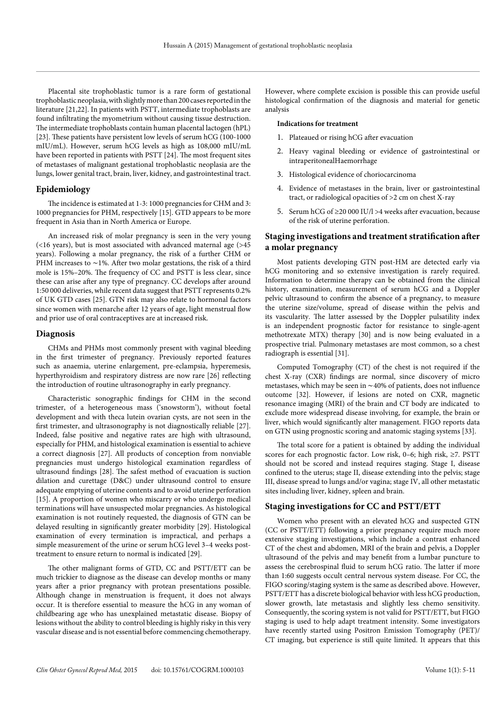Placental site trophoblastic tumor is a rare form of gestational trophoblastic neoplasia, with slightly more than 200 cases reported in the literature [21,22]. In patients with PSTT, intermediate trophoblasts are found infiltrating the myometrium without causing tissue destruction. The intermediate trophoblasts contain human placental lactogen (hPL) [23]. These patients have persistent low levels of serum hCG (100-1000 mIU/mL). However, serum hCG levels as high as 108,000 mIU/mL have been reported in patients with PSTT [24]. The most frequent sites of metastases of malignant gestational trophoblastic neoplasia are the lungs, lower genital tract, brain, liver, kidney, and gastrointestinal tract.

#### **Epidemiology**

The incidence is estimated at 1-3: 1000 pregnancies for CHM and 3: 1000 pregnancies for PHM, respectively [15]. GTD appears to be more frequent in Asia than in North America or Europe.

An increased risk of molar pregnancy is seen in the very young (<16 years), but is most associated with advanced maternal age (>45 years). Following a molar pregnancy, the risk of a further CHM or PHM increases to ∼1%. After two molar gestations, the risk of a third mole is 15%–20%. The frequency of CC and PSTT is less clear, since these can arise after any type of pregnancy. CC develops after around 1:50 000 deliveries, while recent data suggest that PSTT represents 0.2% of UK GTD cases [25]. GTN risk may also relate to hormonal factors since women with menarche after 12 years of age, light menstrual flow and prior use of oral contraceptives are at increased risk.

#### **Diagnosis**

CHMs and PHMs most commonly present with vaginal bleeding in the first trimester of pregnancy. Previously reported features such as anaemia, uterine enlargement, pre-eclampsia, hyperemesis, hyperthyroidism and respiratory distress are now rare [26] reflecting the introduction of routine ultrasonography in early pregnancy.

Characteristic sonographic findings for CHM in the second trimester, of a heterogeneous mass ('snowstorm'), without foetal development and with theca lutein ovarian cysts, are not seen in the first trimester, and ultrasonography is not diagnostically reliable [27]. Indeed, false positive and negative rates are high with ultrasound, especially for PHM, and histological examination is essential to achieve a correct diagnosis [27]. All products of conception from nonviable pregnancies must undergo histological examination regardless of ultrasound findings [28]. The safest method of evacuation is suction dilation and curettage (D&C) under ultrasound control to ensure adequate emptying of uterine contents and to avoid uterine perforation [15]. A proportion of women who miscarry or who undergo medical terminations will have unsuspected molar pregnancies. As histological examination is not routinely requested, the diagnosis of GTN can be delayed resulting in significantly greater morbidity [29]. Histological examination of every termination is impractical, and perhaps a simple measurement of the urine or serum hCG level 3–4 weeks posttreatment to ensure return to normal is indicated [29].

The other malignant forms of GTD, CC and PSTT/ETT can be much trickier to diagnose as the disease can develop months or many years after a prior pregnancy with protean presentations possible. Although change in menstruation is frequent, it does not always occur. It is therefore essential to measure the hCG in any woman of childbearing age who has unexplained metastatic disease. Biopsy of lesions without the ability to control bleeding is highly risky in this very vascular disease and is not essential before commencing chemotherapy.

However, where complete excision is possible this can provide useful histological confirmation of the diagnosis and material for genetic analysis

#### **Indications for treatment**

- 1. Plateaued or rising hCG after evacuation
- 2. Heavy vaginal bleeding or evidence of gastrointestinal or intraperitonealHaemorrhage
- 3. Histological evidence of choriocarcinoma
- 4. Evidence of metastases in the brain, liver or gastrointestinal tract, or radiological opacities of >2 cm on chest X-ray
- 5. Serum hCG of ≥20 000 IU/l >4 weeks after evacuation, because of the risk of uterine perforation.

# **Staging investigations and treatment stratification after a molar pregnancy**

Most patients developing GTN post-HM are detected early via hCG monitoring and so extensive investigation is rarely required. Information to determine therapy can be obtained from the clinical history, examination, measurement of serum hCG and a Doppler pelvic ultrasound to confirm the absence of a pregnancy, to measure the uterine size/volume, spread of disease within the pelvis and its vascularity. The latter assessed by the Doppler pulsatility index is an independent prognostic factor for resistance to single-agent methotrexate MTX) therapy [30] and is now being evaluated in a prospective trial. Pulmonary metastases are most common, so a chest radiograph is essential [31].

Computed Tomography (CT) of the chest is not required if the chest X-ray (CXR) findings are normal, since discovery of micro metastases, which may be seen in ∼40% of patients, does not influence outcome [32]. However, if lesions are noted on CXR, magnetic resonance imaging (MRI) of the brain and CT body are indicated to exclude more widespread disease involving, for example, the brain or liver, which would significantly alter management. FIGO reports data on GTN using prognostic scoring and anatomic staging systems [33].

The total score for a patient is obtained by adding the individual scores for each prognostic factor. Low risk, 0–6; high risk, ≥7. PSTT should not be scored and instead requires staging. Stage I, disease confined to the uterus; stage II, disease extending into the pelvis; stage III, disease spread to lungs and/or vagina; stage IV, all other metastatic sites including liver, kidney, spleen and brain.

# **Staging investigations for CC and PSTT/ETT**

Women who present with an elevated hCG and suspected GTN (CC or PSTT/ETT) following a prior pregnancy require much more extensive staging investigations, which include a contrast enhanced CT of the chest and abdomen, MRI of the brain and pelvis, a Doppler ultrasound of the pelvis and may benefit from a lumbar puncture to assess the cerebrospinal fluid to serum hCG ratio. The latter if more than 1:60 suggests occult central nervous system disease. For CC, the FIGO scoring/staging system is the same as described above. However, PSTT/ETT has a discrete biological behavior with less hCG production, slower growth, late metastasis and slightly less chemo sensitivity. Consequently, the scoring system is not valid for PSTT/ETT, but FIGO staging is used to help adapt treatment intensity. Some investigators have recently started using Positron Emission Tomography (PET)/ CT imaging, but experience is still quite limited. It appears that this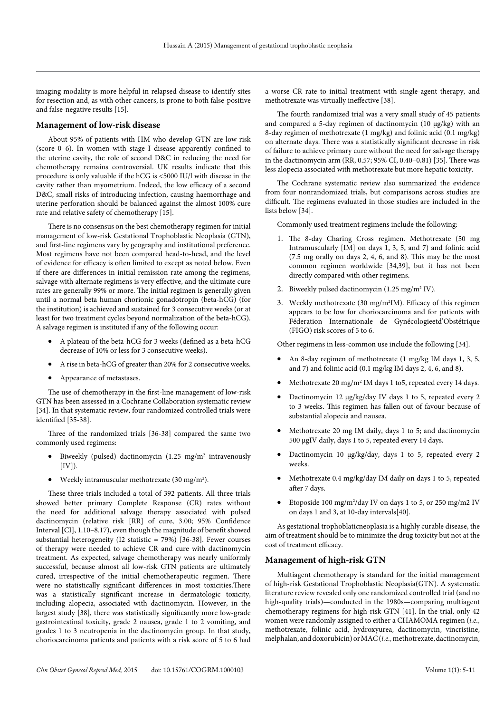imaging modality is more helpful in relapsed disease to identify sites for resection and, as with other cancers, is prone to both false-positive and false-negative results [15].

### **Management of low-risk disease**

About 95% of patients with HM who develop GTN are low risk (score 0–6). In women with stage I disease apparently confined to the uterine cavity, the role of second D&C in reducing the need for chemotherapy remains controversial. UK results indicate that this procedure is only valuable if the hCG is <5000 IU/l with disease in the cavity rather than myometrium. Indeed, the low efficacy of a second D&C, small risks of introducing infection, causing haemorrhage and uterine perforation should be balanced against the almost 100% cure rate and relative safety of chemotherapy [15].

There is no consensus on the best chemotherapy regimen for initial management of low-risk Gestational Trophoblastic Neoplasia (GTN), and first-line regimens vary by geography and institutional preference. Most regimens have not been compared head-to-head, and the level of evidence for efficacy is often limited to except as noted below. Even if there are differences in initial remission rate among the regimens, salvage with alternate regimens is very effective, and the ultimate cure rates are generally 99% or more. The initial regimen is generally given until a normal beta human chorionic gonadotropin (beta-hCG) (for the institution) is achieved and sustained for 3 consecutive weeks (or at least for two treatment cycles beyond normalization of the beta-hCG). A salvage regimen is instituted if any of the following occur:

- A plateau of the beta-hCG for 3 weeks (defined as a beta-hCG decrease of 10% or less for 3 consecutive weeks).
- • A rise in beta-hCG of greater than 20% for 2 consecutive weeks.
- • Appearance of metastases.

The use of chemotherapy in the first-line management of low-risk GTN has been assessed in a Cochrane Collaboration systematic review [34]. In that systematic review, four randomized controlled trials were identified [35-38].

Three of the randomized trials [36-38] compared the same two commonly used regimens:

- Biweekly (pulsed) dactinomycin (1.25 mg/m<sup>2</sup> intravenously  $[IV]$ ).
- Weekly intramuscular methotrexate (30 mg/m<sup>2</sup>).

These three trials included a total of 392 patients. All three trials showed better primary Complete Response (CR) rates without the need for additional salvage therapy associated with pulsed dactinomycin (relative risk [RR] of cure, 3.00; 95% Confidence Interval [CI], 1.10–8.17), even though the magnitude of benefit showed substantial heterogeneity (I2 statistic = 79%) [36-38]. Fewer courses of therapy were needed to achieve CR and cure with dactinomycin treatment. As expected, salvage chemotherapy was nearly uniformly successful, because almost all low-risk GTN patients are ultimately cured, irrespective of the initial chemotherapeutic regimen. There were no statistically significant differences in most toxicities.There was a statistically significant increase in dermatologic toxicity, including alopecia, associated with dactinomycin. However, in the largest study [38], there was statistically significantly more low-grade gastrointestinal toxicity, grade 2 nausea, grade 1 to 2 vomiting, and grades 1 to 3 neutropenia in the dactinomycin group. In that study, choriocarcinoma patients and patients with a risk score of 5 to 6 had a worse CR rate to initial treatment with single-agent therapy, and methotrexate was virtually ineffective [38].

The fourth randomized trial was a very small study of 45 patients and compared a 5-day regimen of dactinomycin (10 μg/kg) with an 8-day regimen of methotrexate (1 mg/kg) and folinic acid (0.1 mg/kg) on alternate days. There was a statistically significant decrease in risk of failure to achieve primary cure without the need for salvage therapy in the dactinomycin arm (RR, 0.57; 95% CI, 0.40–0.81) [35]. There was less alopecia associated with methotrexate but more hepatic toxicity.

The Cochrane systematic review also summarized the evidence from four nonrandomized trials, but comparisons across studies are difficult. The regimens evaluated in those studies are included in the lists below [34].

Commonly used treatment regimens include the following:

- 1. The 8-day Charing Cross regimen. Methotrexate (50 mg Intramuscularly [IM] on days 1, 3, 5, and 7) and folinic acid (7.5 mg orally on days 2, 4, 6, and 8). This may be the most common regimen worldwide [34,39], but it has not been directly compared with other regimens.
- 2. Biweekly pulsed dactinomycin (1.25 mg/m<sup>2</sup> IV).
- 3. Weekly methotrexate (30 mg/m2 IM). Efficacy of this regimen appears to be low for choriocarcinoma and for patients with Féderation Internationale de Gynécologieetd'Obstétrique (FIGO) risk scores of 5 to 6.

Other regimens in less-common use include the following [34].

- An 8-day regimen of methotrexate  $(1 \text{ mg/kg} \text{ IM} \text{ days } 1, 3, 5,$ and 7) and folinic acid (0.1 mg/kg IM days 2, 4, 6, and 8).
- Methotrexate 20 mg/m<sup>2</sup> IM days 1 to5, repeated every 14 days.
- Dactinomycin 12 μg/kg/day IV days 1 to 5, repeated every 2 to 3 weeks. This regimen has fallen out of favour because of substantial alopecia and nausea.
- • Methotrexate 20 mg IM daily, days 1 to 5; and dactinomycin 500 μgIV daily, days 1 to 5, repeated every 14 days.
- Dactinomycin 10 μg/kg/day, days 1 to 5, repeated every 2 weeks.
- Methotrexate 0.4 mg/kg/day IM daily on days 1 to 5, repeated after 7 days.
- Etoposide 100 mg/m<sup>2</sup>/day IV on days 1 to 5, or 250 mg/m2 IV on days 1 and 3, at 10-day intervals[40].

As gestational trophoblaticneoplasia is a highly curable disease, the aim of treatment should be to minimize the drug toxicity but not at the cost of treatment efficacy.

# **Management of high-risk GTN**

Multiagent chemotherapy is standard for the initial management of high-risk Gestational Trophoblastic Neoplasia(GTN). A systematic literature review revealed only one randomized controlled trial (and no high-quality trials)—conducted in the 1980s—comparing multiagent chemotherapy regimens for high-risk GTN [41]. In the trial, only 42 women were randomly assigned to either a CHAMOMA regimen (*i.e.,* methotrexate, folinic acid, hydroxyurea, dactinomycin, vincristine, melphalan, and doxorubicin) or MAC (*i.e.,* methotrexate, dactinomycin,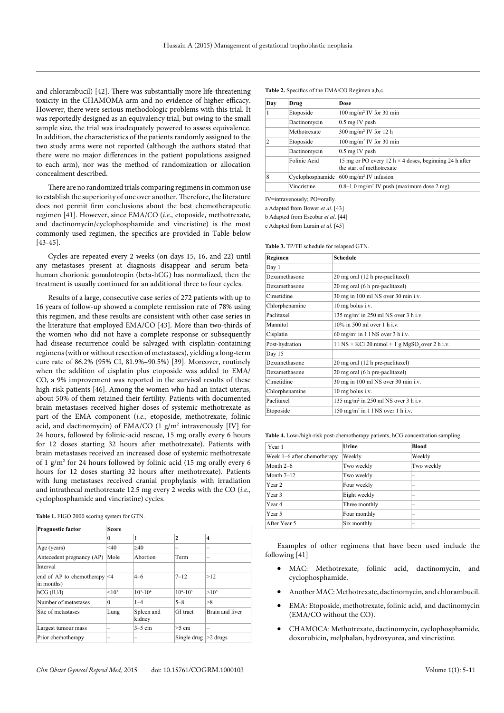and chlorambucil) [42]. There was substantially more life-threatening toxicity in the CHAMOMA arm and no evidence of higher efficacy. However, there were serious methodologic problems with this trial. It was reportedly designed as an equivalency trial, but owing to the small sample size, the trial was inadequately powered to assess equivalence. In addition, the characteristics of the patients randomly assigned to the two study arms were not reported (although the authors stated that there were no major differences in the patient populations assigned to each arm), nor was the method of randomization or allocation concealment described.

There are no randomized trials comparing regimens in common use to establish the superiority of one over another. Therefore, the literature does not permit firm conclusions about the best chemotherapeutic regimen [41]. However, since EMA/CO (*i.e.,* etoposide, methotrexate, and dactinomycin/cyclophosphamide and vincristine) is the most commonly used regimen, the specifics are provided in Table below [43-45].

Cycles are repeated every 2 weeks (on days 15, 16, and 22) until any metastases present at diagnosis disappear and serum betahuman chorionic gonadotropin (beta-hCG) has normalized, then the treatment is usually continued for an additional three to four cycles.

Results of a large, consecutive case series of 272 patients with up to 16 years of follow-up showed a complete remission rate of 78% using this regimen, and these results are consistent with other case series in the literature that employed EMA/CO [43]. More than two-thirds of the women who did not have a complete response or subsequently had disease recurrence could be salvaged with cisplatin-containing regimens (with or without resection of metastases), yielding a long-term cure rate of 86.2% (95% CI, 81.9%–90.5%) [39]. Moreover, routinely when the addition of cisplatin plus etoposide was added to EMA/ CO, a 9% improvement was reported in the survival results of these high-risk patients [46]. Among the women who had an intact uterus, about 50% of them retained their fertility. Patients with documented brain metastases received higher doses of systemic methotrexate as part of the EMA component (*i.e.,* etoposide, methotrexate, folinic acid, and dactinomycin) of EMA/CO (1 g/m<sup>2</sup> intravenously [IV] for 24 hours, followed by folinic-acid rescue, 15 mg orally every 6 hours for 12 doses starting 32 hours after methotrexate). Patients with brain metastases received an increased dose of systemic methotrexate of 1 g/m2 for 24 hours followed by folinic acid (15 mg orally every 6 hours for 12 doses starting 32 hours after methotrexate). Patients with lung metastases received cranial prophylaxis with irradiation and intrathecal methotrexate 12.5 mg every 2 weeks with the CO (*i.e.,* cyclophosphamide and vincristine) cycles.

| <b>Prognostic factor</b>                      | <b>Score</b>      |                      |                   |                 |
|-----------------------------------------------|-------------------|----------------------|-------------------|-----------------|
|                                               | $\theta$          | 1                    | 2                 | 4               |
| Age (years)                                   | $<$ 40            | >40                  |                   |                 |
| Antecedent pregnancy (AP)                     | Mole              | Abortion             | Term              | -               |
| Interval                                      |                   |                      |                   |                 |
| end of AP to chemotherapy $ <4$<br>in months) |                   | $4 - 6$              | $7 - 12$          | >12             |
| $hCG$ (IU/l)                                  | < 10 <sup>3</sup> | $10^3 - 10^4$        | $10^{4} - 10^{5}$ | $>10^{5}$       |
| Number of metastases                          | $\theta$          | $1 - 4$              | $5 - 8$           | >8              |
| Site of metastases                            | Lung              | Spleen and<br>kidney | GI tract          | Brain and liver |
| Largest tumour mass                           |                   | $3-5$ cm             | $>5$ cm           |                 |
| Prior chemotherapy                            |                   |                      | Single drug       | $>2$ drugs      |

**Table 1.** FIGO 2000 scoring system for GTN.

**Table 2.** Specifics of the EMA/CO Regimen a,b,c.

| Day           | Drug             | Dose                                                                                       |  |
|---------------|------------------|--------------------------------------------------------------------------------------------|--|
|               | Etoposide        | 100 mg/m <sup>2</sup> IV for 30 min                                                        |  |
|               | Dactinomycin     | $0.5$ mg IV push                                                                           |  |
|               | Methotrexate     | $300 \text{ mg/m}^2$ IV for 12 h                                                           |  |
| $\mathcal{D}$ | Etoposide        | $100 \text{ mg/m}^2$ IV for 30 min                                                         |  |
|               | Dactinomycin     | $0.5$ mg IV push                                                                           |  |
|               | Folinic Acid     | 15 mg or PO every 12 h $\times$ 4 doses, beginning 24 h after<br>the start of methotrexate |  |
| 8             | Cyclophosphamide | $600 \text{ mg/m}^2$ IV infusion                                                           |  |
|               | Vincristine      | $0.8-1.0$ mg/m <sup>2</sup> IV push (maximum dose 2 mg)                                    |  |

IV=intravenously; PO=orally.

a Adapted from Bower *et al.* [43]

b Adapted from Escobar *et al*. [44]

c Adapted from Lurain *et al.* [45]

**Table 3.** TP/TE schedule for relapsed GTN.

| Regimen        | <b>Schedule</b>                                                |
|----------------|----------------------------------------------------------------|
| Day 1          |                                                                |
| Dexamethasone  | 20 mg oral (12 h pre-paclitaxel)                               |
| Dexamethasone  | 20 mg oral (6 h pre-paclitaxel)                                |
| Cimetidine     | 30 mg in 100 ml NS over 30 min i.v.                            |
| Chlorphenamine | $10$ mg bolus i.v.                                             |
| Paclitaxel     | 135 mg/m <sup>2</sup> in 250 ml NS over 3 h i.v.               |
| Mannitol       | $10\%$ in 500 ml over 1 h i.v.                                 |
| Cisplatin      | $60 \text{ mg/m}^2$ in $11 \text{ NS}$ over $3 \text{ h}$ i.v. |
| Post-hydration | $11$ NS + KCl 20 mmol + 1 g MgSO <sub>4</sub> over 2 h i.v.    |
| Day 15         |                                                                |
| Dexamethasone  | 20 mg oral (12 h pre-paclitaxel)                               |
| Dexamethasone  | 20 mg oral (6 h pre-paclitaxel)                                |
| Cimetidine     | 30 mg in 100 ml NS over 30 min i.v.                            |
| Chlorphenamine | $10$ mg bolus i.v.                                             |
| Paclitaxel     | 135 mg/m <sup>2</sup> in 250 ml NS over 3 h i.v.               |
| Etoposide      | 150 mg/m <sup>2</sup> in $11$ NS over 1 h i.v.                 |

**Table 4.** Low-/high-risk post-chemotherapy patients, hCG concentration sampling.

| Year 1                      | Urine         | <b>Blood</b> |
|-----------------------------|---------------|--------------|
| Week 1–6 after chemotherapy | Weekly        | Weekly       |
| Month $2-6$                 | Two weekly    | Two weekly   |
| Month $7-12$                | Two weekly    |              |
| Year 2                      | Four weekly   |              |
| Year 3                      | Eight weekly  |              |
| Year 4                      | Three monthly |              |
| Year 5                      | Four monthly  |              |
| After Year 5                | Six monthly   |              |

Examples of other regimens that have been used include the following [41]

- MAC: Methotrexate, folinic acid, dactinomycin, and cyclophosphamide.
- Another MAC: Methotrexate, dactinomycin, and chlorambucil.
- EMA: Etoposide, methotrexate, folinic acid, and dactinomycin (EMA/CO without the CO).
- CHAMOCA: Methotrexate, dactinomycin, cyclophosphamide, doxorubicin, melphalan, hydroxyurea, and vincristine.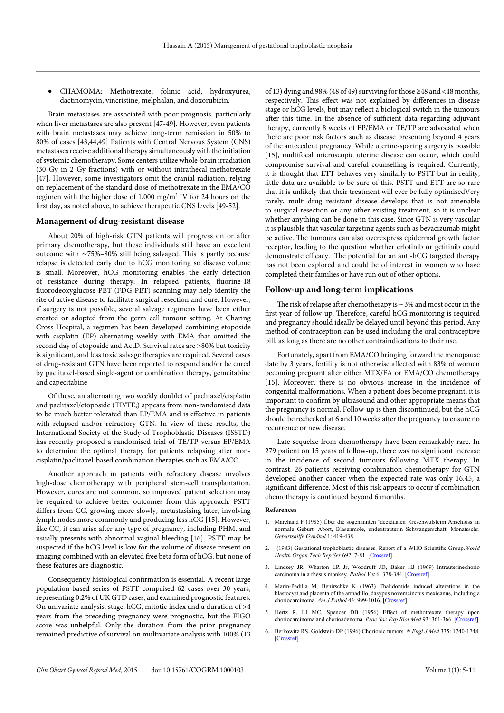• CHAMOMA: Methotrexate, folinic acid, hydroxyurea, dactinomycin, vincristine, melphalan, and doxorubicin.

Brain metastases are associated with poor prognosis, particularly when liver metastases are also present [47-49]. However, even patients with brain metastases may achieve long-term remission in 50% to 80% of cases [43,44,49] Patients with Central Nervous System (CNS) metastases receive additional therapy simultaneously with the initiation of systemic chemotherapy. Some centers utilize whole-brain irradiation (30 Gy in 2 Gy fractions) with or without intrathecal methotrexate [47]. However, some investigators omit the cranial radiation, relying on replacement of the standard dose of methotrexate in the EMA/CO regimen with the higher dose of 1,000 mg/m2 IV for 24 hours on the first day, as noted above, to achieve therapeutic CNS levels [49-52].

# **Management of drug-resistant disease**

About 20% of high-risk GTN patients will progress on or after primary chemotherapy, but these individuals still have an excellent outcome with ∼75%–80% still being salvaged. This is partly because relapse is detected early due to hCG monitoring so disease volume is small. Moreover, hCG monitoring enables the early detection of resistance during therapy. In relapsed patients, fluorine-18 fluorodeoxyglucose-PET (FDG-PET) scanning may help identify the site of active disease to facilitate surgical resection and cure. However, if surgery is not possible, several salvage regimens have been either created or adopted from the germ cell tumour setting. At Charing Cross Hospital, a regimen has been developed combining etoposide with cisplatin (EP) alternating weekly with EMA that omitted the second day of etoposide and ActD. Survival rates are >80% but toxicity is significant, and less toxic salvage therapies are required. Several cases of drug-resistant GTN have been reported to respond and/or be cured by paclitaxel-based single-agent or combination therapy, gemcitabine and capecitabine

Of these, an alternating two weekly doublet of paclitaxel/cisplatin and paclitaxel/etoposide (TP/TE;) appears from non-randomised data to be much better tolerated than EP/EMA and is effective in patients with relapsed and/or refractory GTN. In view of these results, the International Society of the Study of Trophoblastic Diseases (ISSTD) has recently proposed a randomised trial of TE/TP versus EP/EMA to determine the optimal therapy for patients relapsing after noncisplatin/paclitaxel-based combination therapies such as EMA/CO.

Another approach in patients with refractory disease involves high-dose chemotherapy with peripheral stem-cell transplantation. However, cures are not common, so improved patient selection may be required to achieve better outcomes from this approach. PSTT differs from CC, growing more slowly, metastasising later, involving lymph nodes more commonly and producing less hCG [15]. However, like CC, it can arise after any type of pregnancy, including PHM, and usually presents with abnormal vaginal bleeding [16]. PSTT may be suspected if the hCG level is low for the volume of disease present on imaging combined with an elevated free beta form of hCG, but none of these features are diagnostic.

Consequently histological confirmation is essential. A recent large population-based series of PSTT comprised 62 cases over 30 years, representing 0.2% of UK GTD cases, and examined prognostic features. On univariate analysis, stage, hCG, mitotic index and a duration of >4 years from the preceding pregnancy were prognostic, but the FIGO score was unhelpful. Only the duration from the prior pregnancy remained predictive of survival on multivariate analysis with 100% (13

of 13) dying and 98% (48 of 49) surviving for those ≥48 and <48 months, respectively. This effect was not explained by differences in disease stage or hCG levels, but may reflect a biological switch in the tumours after this time. In the absence of sufficient data regarding adjuvant therapy, currently 8 weeks of EP/EMA or TE/TP are advocated when there are poor risk factors such as disease presenting beyond 4 years of the antecedent pregnancy. While uterine-sparing surgery is possible [15], multifocal microscopic uterine disease can occur, which could compromise survival and careful counselling is required. Currently, it is thought that ETT behaves very similarly to PSTT but in reality, little data are available to be sure of this. PSTT and ETT are so rare that it is unlikely that their treatment will ever be fully optimisedVery rarely, multi-drug resistant disease develops that is not amenable to surgical resection or any other existing treatment, so it is unclear whether anything can be done in this case. Since GTN is very vascular it is plausible that vascular targeting agents such as bevacizumab might be active. The tumours can also overexpress epidermal growth factor receptor, leading to the question whether erlotinib or gefitinib could demonstrate efficacy. The potential for an anti-hCG targeted therapy has not been explored and could be of interest in women who have completed their families or have run out of other options.

### **Follow-up and long-term implications**

The risk of relapse after chemotherapy is ∼3% and most occur in the first year of follow-up. Therefore, careful hCG monitoring is required and pregnancy should ideally be delayed until beyond this period. Any method of contraception can be used including the oral contraceptive pill, as long as there are no other contraindications to their use.

Fortunately, apart from EMA/CO bringing forward the menopause date by 3 years, fertility is not otherwise affected with 83% of women becoming pregnant after either MTX/FA or EMA/CO chemotherapy [15]. Moreover, there is no obvious increase in the incidence of congenital malformations. When a patient does become pregnant, it is important to confirm by ultrasound and other appropriate means that the pregnancy is normal. Follow-up is then discontinued, but the hCG should be rechecked at 6 and 10 weeks after the pregnancy to ensure no recurrence or new disease.

Late sequelae from chemotherapy have been remarkably rare. In 279 patient on 15 years of follow-up, there was no significant increase in the incidence of second tumours following MTX therapy. In contrast, 26 patients receiving combination chemotherapy for GTN developed another cancer when the expected rate was only 16.45, a significant difference. Most of this risk appears to occur if combination chemotherapy is continued beyond 6 months.

#### **References**

- 1. Marchand F (1985) Über die sogenannten 'decidualen' Geschwulsteim Anschluss an normale Geburt. Abort, Blasenmole, undextrauterin Schwangerschaft. Monatsschr. *Geburtshilfe Gynäkol* 1: 419-438.
- 2. (1983) Gestational trophoblastic diseases. Report of a WHO Scientific Group.*World Health Organ Tech Rep Ser* 692: 7-81. [\[Crossref](http://www.ncbi.nlm.nih.gov/pubmed/6318459)]
- 3. Lindsey JR, Wharton LR Jr, Woodruff JD, Baker HJ (1969) Intrauterinechorio carcinoma in a rhesus monkey. *Pathol Vet* 6: 378-384. [\[Crossref\]](http://www.ncbi.nlm.nih.gov/pubmed/4981556)
- 4. Marin-Padilla M, Benirschke K (1963) Thalidomide induced alterations in the blastocyst and placenta of the armadillo, dasypus novemcinctus mexicanus, including a choriocarcinoma. *Am J Pathol* 43: 999-1016. [[Crossref\]](http://www.ncbi.nlm.nih.gov/pubmed/14099460)
- 5. Hertz R, LI MC, Spencer DB (1956) Effect of methotrexate therapy upon choriocarcinoma and chorioadenoma. *Proc Soc Exp Biol Med* 93: 361-366. [\[Crossref\]](http://www.ncbi.nlm.nih.gov/pubmed/13379512)
- 6. Berkowitz RS, Goldstein DP (1996) Chorionic tumors. *N Engl J Med* 335: 1740-1748. [[Crossref\]](http://www.ncbi.nlm.nih.gov/pubmed/8929267)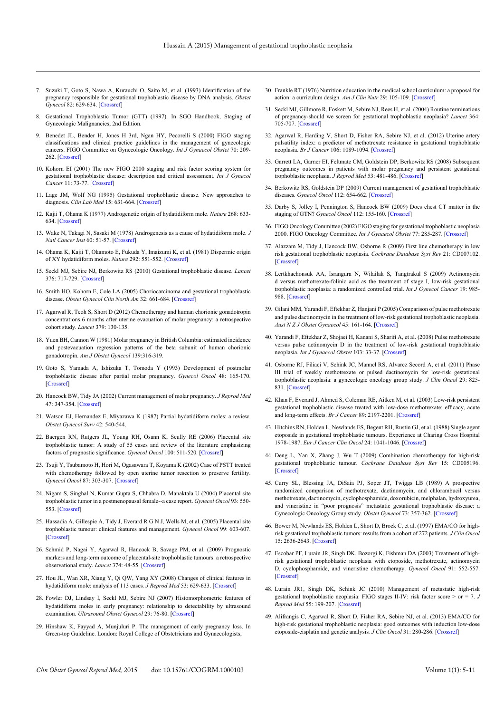- 7. Suzuki T, Goto S, Nawa A, Kurauchi O, Saito M, et al. (1993) Identification of the pregnancy responsible for gestational trophoblastic disease by DNA analysis. *Obstet Gynecol* 82: 629-634. [[Crossref\]](http://www.ncbi.nlm.nih.gov/pubmed/8397359)
- 8. Gestational Trophoblastic Tumor (GTT) (1997). In SGO Handbook, Staging of Gynecologic Malignancies, 2nd Edition.
- 9. Benedet JL, Bender H, Jones H 3rd, Ngan HY, Pecorelli S (2000) FIGO staging classifications and clinical practice guidelines in the management of gynecologic cancers. FIGO Committee on Gynecologic Oncology. *Int J Gynaecol Obstet* 70: 209- 262. [\[Crossref\]](http://www.ncbi.nlm.nih.gov/pubmed/11041682)
- 10. Kohorn EI (2001) The new FIGO 2000 staging and risk factor scoring system for gestational trophoblastic disease: description and critical assessment. *Int J Gynecol Cancer* 11: 73-77. [\[Crossref\]](http://www.ncbi.nlm.nih.gov/pubmed/11285037)
- 11. Lage JM, Wolf NG (1995) Gestational trophoblastic disease. New approaches to diagnosis. *Clin Lab Med* 15: 631-664. [\[Crossref](http://www.ncbi.nlm.nih.gov/pubmed/8542727)]
- 12. Kajii T, Ohama K (1977) Androgenetic origin of hydatidiform mole. *Nature* 268: 633- 634. [\[Crossref\]](http://www.ncbi.nlm.nih.gov/pubmed/561314)
- 13. Wake N, Takagi N, Sasaki M (1978) Androgenesis as a cause of hydatidiform mole. *J Natl Cancer Inst* 60: 51-57. [\[Crossref\]](http://www.ncbi.nlm.nih.gov/pubmed/628023)
- 14. Ohama K, Kajii T, Okamoto E, Fukuda Y, Imaizumi K, et al. (1981) Dispermic origin of XY hydatidiform moles. *Nature* 292: 551-552. [\[Crossref](http://www.ncbi.nlm.nih.gov/pubmed/7254351)]
- 15. Seckl MJ, Sebire NJ, Berkowitz RS (2010) Gestational trophoblastic disease. *Lancet* 376: 717-729. [\[Crossref\]](http://www.ncbi.nlm.nih.gov/pubmed/20673583)
- 16. Smith HO, Kohorn E, Cole LA (2005) Choriocarcinoma and gestational trophoblastic disease. *Obstet Gynecol Clin North Am* 32: 661-684. [[Crossref](http://www.ncbi.nlm.nih.gov/pubmed/16310678)]
- 17. Agarwal R, Teoh S, Short D (2012) Chemotherapy and human chorionic gonadotropin concentrations 6 months after uterine evacuation of molar pregnancy: a retrospective cohort study. *Lancet* 379: 130-135.
- 18. Yuen BH, Cannon W (1981) Molar pregnancy in British Columbia: estimated incidence and postevacuation regression patterns of the beta subunit of human chorionic gonadotropin. *Am J Obstet Gynecol* 139:316-319.
- 19. Goto S, Yamada A, Ishizuka T, Tomoda Y (1993) Development of postmolar trophoblastic disease after partial molar pregnancy. *Gynecol Oncol* 48: 165-170. [\[Crossref\]](http://www.ncbi.nlm.nih.gov/pubmed/8428686)
- 20. Hancock BW, Tidy JA (2002) Current management of molar pregnancy. *J Reprod Med* 47: 347-354. [[Crossref](http://www.ncbi.nlm.nih.gov/pubmed/12063873)]
- 21. Watson EJ, Hernandez E, Miyazawa K (1987) Partial hydatidiform moles: a review. *Obstet Gynecol Surv* 42: 540-544.
- 22. Baergen RN, Rutgers JL, Young RH, Osann K, Scully RE (2006) Placental site trophoblastic tumor: A study of 55 cases and review of the literature emphasizing factors of prognostic significance. *Gynecol Oncol* 100: 511-520. [[Crossref](http://www.ncbi.nlm.nih.gov/pubmed/16246400)]
- 23. Tsuji Y, Tsubamoto H, Hori M, Ogasawara T, Koyama K (2002) Case of PSTT treated with chemotherapy followed by open uterine tumor resection to preserve fertility. *Gynecol Oncol* 87: 303-307. [[Crossref](http://www.ncbi.nlm.nih.gov/pubmed/12468329)]
- 24. Nigam S, Singhal N, Kumar Gupta S, Chhabra D, Manaktala U (2004) Placental site trophoblastic tumor in a postmenopausal female--a case report. *Gynecol Oncol* 93: 550- 553. [\[Crossref\]](http://www.ncbi.nlm.nih.gov/pubmed/15099979)
- 25. Hassadia A, Gillespie A, Tidy J, Everard R G N J, Wells M, et al. (2005) Placental site trophoblastic tumour: clinical features and management. *Gynecol Oncol* 99: 603-607. [\[Crossref\]](http://www.ncbi.nlm.nih.gov/pubmed/16085293)
- 26. Schmid P, Nagai Y, Agarwal R, Hancock B, Savage PM, et al. (2009) Prognostic markers and long-term outcome of placental-site trophoblastic tumours: a retrospective observational study. *Lancet* 374: 48-55. [\[Crossref\]](http://www.ncbi.nlm.nih.gov/pubmed/19552948)
- 27. Hou JL, Wan XR, Xiang Y, Qi QW, Yang XY (2008) Changes of clinical features in hydatidiform mole: analysis of 113 cases*. J Reprod Med* 53: 629-633. [[Crossref](http://www.ncbi.nlm.nih.gov/pubmed/18773629)]
- 28. Fowler DJ, Lindsay I, Seckl MJ, Sebire NJ (2007) Histomorphometric features of hydatidiform moles in early pregnancy: relationship to detectability by ultrasound examination. *Ultrasound Obstet Gynecol* 29: 76-80. [[Crossref](http://www.ncbi.nlm.nih.gov/pubmed/17171630)]
- 29. Hinshaw K, Fayyad A, Munjuluri P. The management of early pregnancy loss. In Green-top Guideline. London: Royal College of Obstetricians and Gynaecologists,
- 30. Frankle RT (1976) Nutrition education in the medical school curriculum: a proposal for action: a curriculum design. *Am J Clin Nutr* 29: 105-109. [[Crossref](http://www.ncbi.nlm.nih.gov/pubmed/2006)]
- 31. Seckl MJ, Gillmore R, Foskett M, Sebire NJ, Rees H, et al. (2004) Routine terminations of pregnancy-should we screen for gestational trophoblastic neoplasia? *Lancet* 364: 705-707. [[Crossref](http://www.ncbi.nlm.nih.gov/pubmed/15325836)]
- 32. Agarwal R, Harding V, Short D, Fisher RA, Sebire NJ, et al. (2012) Uterine artery pulsatility index: a predictor of methotrexate resistance in gestational trophoblastic neoplasia. *Br J Cancer* 106: 1089-1094. [[Crossref\]](http://www.ncbi.nlm.nih.gov/pubmed/22374461)
- 33. Garrett LA, Garner EI, Feltmate CM, Goldstein DP, Berkowitz RS (2008) Subsequent pregnancy outcomes in patients with molar pregnancy and persistent gestational trophoblastic neoplasia. *J Reprod Med* 53: 481-486. [\[Crossref\]](http://www.ncbi.nlm.nih.gov/pubmed/18720922)
- 34. Berkowitz RS, Goldstein DP (2009) Current management of gestational trophoblastic diseases. *Gynecol Oncol* 112: 654-662. [\[Crossref](http://www.ncbi.nlm.nih.gov/pubmed/18851873)]
- 35. Darby S, Jolley I, Pennington S, Hancock BW (2009) Does chest CT matter in the staging of GTN? *Gynecol Oncol* 112: 155-160. [[Crossref](http://www.ncbi.nlm.nih.gov/pubmed/19019416)]
- 36. FIGO Oncology Committee (2002) FIGO staging for gestational trophoblastic neoplasia 2000. FIGO Oncology Committee. *Int J Gynaecol Obstet* 77: 285-287. [[Crossref\]](http://www.ncbi.nlm.nih.gov/pubmed/12065144)
- 37. Alazzam M, Tidy J, Hancock BW, Osborne R (2009) First line chemotherapy in low risk gestational trophoblastic neoplasia. *Cochrane Database Syst Rev* 21: CD007102. [[Crossref\]](http://www.ncbi.nlm.nih.gov/pubmed/19160319)
- 38. Lertkhachonsuk AA, Israngura N, Wilailak S, Tangtrakul S (2009) Actinomycin d versus methotrexate-folinic acid as the treatment of stage I, low-risk gestational trophoblastic neoplasia: a randomized controlled trial. *Int J Gynecol Cancer* 19: 985- 988. [[Crossref\]](http://www.ncbi.nlm.nih.gov/pubmed/19574798)
- 39. Gilani MM, Yarandi F, Eftekhar Z, Hanjani P (2005) Comparison of pulse methotrexate and pulse dactinomycin in the treatment of low-risk gestational trophoblastic neoplasia. *Aust N Z J Obstet Gynaecol* 45: 161-164. [\[Crossref\]](http://www.ncbi.nlm.nih.gov/pubmed/15760322)
- 40. Yarandi F, Eftekhar Z, Shojaei H, Kanani S, Sharifi A, et al. (2008) Pulse methotrexate versus pulse actinomycin D in the treatment of low-risk gestational trophoblastic neoplasia. *Int J Gynaecol Obstet* 103: 33-37. [[Crossref\]](http://www.ncbi.nlm.nih.gov/pubmed/18632105)
- 41. Osborne RJ, Filiaci V, Schink JC, Mannel RS, Alvarez Secord A, et al. (2011) Phase III trial of weekly methotrexate or pulsed dactinomycin for low-risk gestational trophoblastic neoplasia: a gynecologic oncology group study. *J Clin Oncol* 29: 825- 831. [[Crossref\]](http://www.ncbi.nlm.nih.gov/pubmed/21263100)
- 42. Khan F, Everard J, Ahmed S, Coleman RE, Aitken M, et al. (2003) Low-risk persistent gestational trophoblastic disease treated with low-dose methotrexate: efficacy, acute and long-term effects. *Br J Cancer* 89: 2197-2201. [[Crossref](http://www.ncbi.nlm.nih.gov/pubmed/14676794)]
- 43. Hitchins RN, Holden L, Newlands ES, Begent RH, Rustin GJ, et al. (1988) Single agent etoposide in gestational trophoblastic tumours. Experience at Charing Cross Hospital 1978-1987. *Eur J Cancer Clin Oncol* 24: 1041-1046. [\[Crossref](http://www.ncbi.nlm.nih.gov/pubmed/2842160)]
- 44. Deng L, Yan X, Zhang J, Wu T (2009) Combination chemotherapy for high-risk gestational trophoblastic tumour. *Cochrane Database Syst Rev* 15: CD005196. [[Crossref\]](http://www.ncbi.nlm.nih.gov/pubmed/19370618)
- 45. Curry SL, Blessing JA, DiSaia PJ, Soper JT, Twiggs LB (1989) A prospective randomized comparison of methotrexate, dactinomycin, and chlorambucil versus methotrexate, dactinomycin, cyclophosphamide, doxorubicin, melphalan, hydroxyurea, and vincristine in "poor prognosis" metastatic gestational trophoblastic disease: a Gynecologic Oncology Group study. *Obstet Gynecol* 73: 357-362. [[Crossref](http://www.ncbi.nlm.nih.gov/pubmed/2536911)]
- 46. Bower M, Newlands ES, Holden L, Short D, Brock C, et al. (1997) EMA/CO for highrisk gestational trophoblastic tumors: results from a cohort of 272 patients. *J Clin Oncol* 15: 2636-2643. [\[Crossref](http://www.ncbi.nlm.nih.gov/pubmed/9215835)]
- 47. Escobar PF, Lurain JR, Singh DK, Bozorgi K, Fishman DA (2003) Treatment of highrisk gestational trophoblastic neoplasia with etoposide, methotrexate, actinomycin D, cyclophosphamide, and vincristine chemotherapy. *Gynecol Oncol* 91: 552-557. [[Crossref\]](http://www.ncbi.nlm.nih.gov/pubmed/14675675)
- 48. Lurain JR1, Singh DK, Schink JC (2010) Management of metastatic high-risk gestational trophoblastic neoplasia: FIGO stages II-IV: risk factor score > or = 7. *J Reprod Med* 55: 199-207. [[Crossref\]](http://www.ncbi.nlm.nih.gov/pubmed/20626175)
- 49. Alifrangis C, Agarwal R, Short D, Fisher RA, Sebire NJ, et al. (2013) EMA/CO for high-risk gestational trophoblastic neoplasia: good outcomes with induction low-dose etoposide-cisplatin and genetic analysis*. J Clin Oncol* 31: 280-286. [\[Crossref](http://www.ncbi.nlm.nih.gov/pubmed/23233709)]